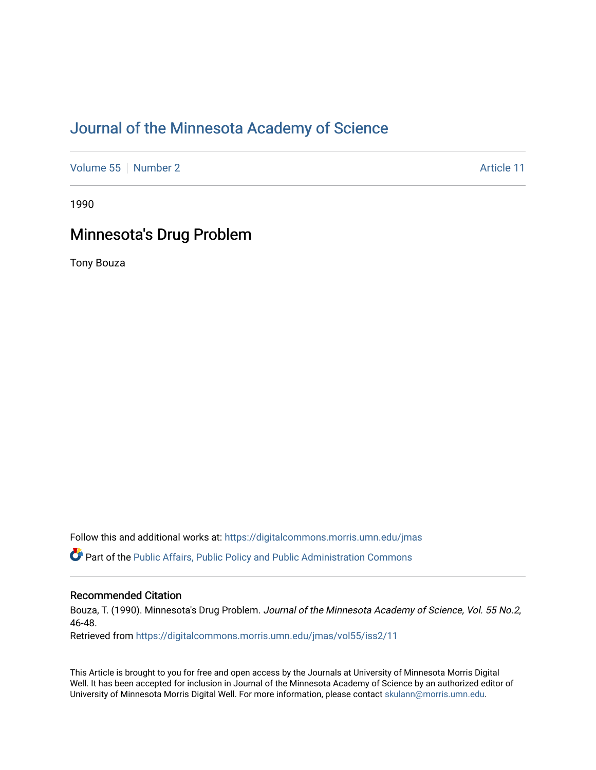## [Journal of the Minnesota Academy of Science](https://digitalcommons.morris.umn.edu/jmas)

[Volume 55](https://digitalcommons.morris.umn.edu/jmas/vol55) [Number 2](https://digitalcommons.morris.umn.edu/jmas/vol55/iss2) Article 11

1990

### Minnesota's Drug Problem

Tony Bouza

Follow this and additional works at: [https://digitalcommons.morris.umn.edu/jmas](https://digitalcommons.morris.umn.edu/jmas?utm_source=digitalcommons.morris.umn.edu%2Fjmas%2Fvol55%2Fiss2%2F11&utm_medium=PDF&utm_campaign=PDFCoverPages) 

Part of the [Public Affairs, Public Policy and Public Administration Commons](https://network.bepress.com/hgg/discipline/393?utm_source=digitalcommons.morris.umn.edu%2Fjmas%2Fvol55%2Fiss2%2F11&utm_medium=PDF&utm_campaign=PDFCoverPages) 

### Recommended Citation

Bouza, T. (1990). Minnesota's Drug Problem. Journal of the Minnesota Academy of Science, Vol. 55 No.2, 46-48.

Retrieved from [https://digitalcommons.morris.umn.edu/jmas/vol55/iss2/11](https://digitalcommons.morris.umn.edu/jmas/vol55/iss2/11?utm_source=digitalcommons.morris.umn.edu%2Fjmas%2Fvol55%2Fiss2%2F11&utm_medium=PDF&utm_campaign=PDFCoverPages) 

This Article is brought to you for free and open access by the Journals at University of Minnesota Morris Digital Well. It has been accepted for inclusion in Journal of the Minnesota Academy of Science by an authorized editor of University of Minnesota Morris Digital Well. For more information, please contact [skulann@morris.umn.edu](mailto:skulann@morris.umn.edu).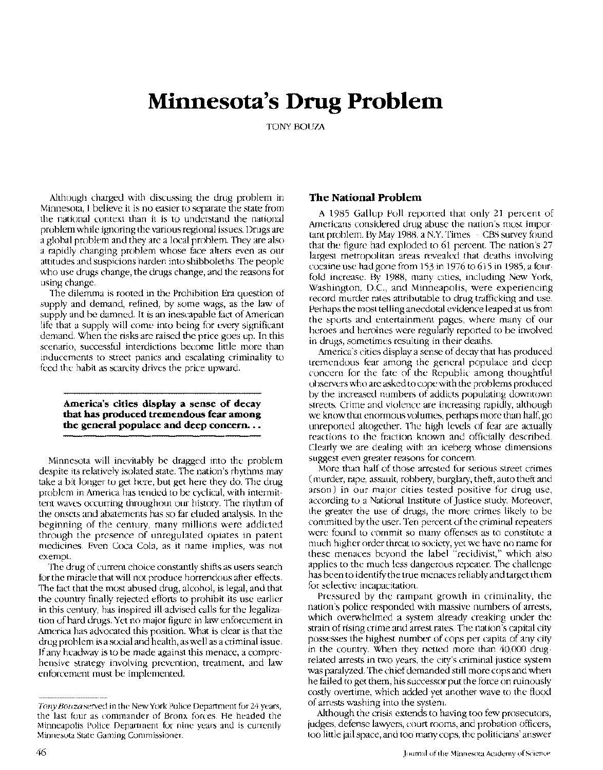# **Minnesota's Drug Problem**

TONY BOUZA

Although charged with discussing the drug problem in Minnesota, I believe it is no easier to separate the state from the national context than it is to understand the national problem while ignoring the various regional issues. Drugs are a global problem and they are a local problem. They are also a rapidly changing problem whose face alters even as our attitudes and suspicions harden into shibboleths. The people who use drugs change, the drugs change, and the reasons for using change.

The dilemma is rooted in the Prohibition Era question of supply and demand, refined, by some wags, as the law of supply and be damned. It is an inescapable fact of American life that a supply will come into being for every significant demand. When the risks are raised the price goes up. In this scenario, successful interdictions become little more than inducements to street panics and escalating criminality to feed the habit as scarcity drives the price upward.

**America's cities display a sense of decay that has produced tremendous fear among**  the general populace and deep concern...

Minnesota will inevitably be dragged into the problem despite its relatively isolated state. The nation's rhythms may take a bit longer to get here, but get here they do. The drug problem in America has tended to be cyclical, with intermittent waves occurring throughout our history. The rhythm of the onsets and abatements has so far eluded analysis. In the beginning of the century, many millions were addicted through the presence of unregulated opiates in patent medicines. Even Coca Cola, as it name implies, was not exempt.

The drug of current choice constantly shifts as users search for the miracle that will not produce horrendous after-effects. The fact that the most abused drug, alcohol, is legal, and that the country finally rejected efforts to prohibit its use earlier in this century, has inspired ill-advised calls for the legalization of hard drugs. Yet no major figure in law enforcement in America has advocated this position. What is clear is that the drug problem is a social and health, as well as a criminal issue. If any headway is to be made against this menace, a comprehensive strategy involving prevention, treatment, and law enforcement must be implemented.

### **The National Problem**

A 1985 Gallup Poll reported that only 21 percent of Americans considered drug abuse the nation's most important problem. By May 1988, a N.Y. Times - CBS survey found that the figure had exploded to 61 percent. The nation's 27 largest metropolitan areas revealed that deaths involving cocaine use had gone from 153 in 1976 to615 in 1985, a fourfold increase. By 1988, many cities, including New York, Washington, D.C., and Minneapolis, were experiencing record murder rates attributable to drug trafficking and use. Perhaps the most telling anecdotal evidence leaped at us from the sports and entertainment pages, where many of our heroes and heroines were regularly reported to be involved in drugs, sometimes resulting in their deaths.

America's cities display a sense of decay that has produced tremendous fear among the general populace and deep concern for the fate of the Republic among thoughtful observers who are asked to cope with the problems produced by the increased numbers of addicts populating downtown streets. Crime and violence are increasing rapidly, although we know that enormous volumes, perhaps more than half, go unreported altogether. The high levels of fear are actually reactions to the fraction known and officially described. Clearly we are dealing with an iceberg whose dimensions suggest even greater reasons for concern.

More than half of those arrested for serious street crimes (murder, rape, assault, robbery, burglary, theft, auto theft and arson) in our major cities tested positive for drug use, according to a National Institute of Justice study. Moreover, the greater the use of drugs, the more crimes likely to be committed by the user. Ten percent of the criminal repeaters were found to commit so many offenses as to constitute a much higher order threat to society, yet we have no name for these menaces beyond the label "recidivist," which also applies to the much less dangerous repeater. The challenge has been to identify the true menaces reliably and target them for selective incapacitation.

Pressured by the rampant growth in criminality, the nation's police responded with massive numbers of arrests, which overwhelmed a system already creaking under the strain of rising crime and arrest rates. The nation's capital city possesses the highest number of cops per capita of any city in the country. When they netted more than  $40,000$  drugrelated arrests in two years, the city's criminal justice system was paralyzed. The chief demanded still more cops and when he failed to get them, his successor put the force on ruinously costly overtime, which added yet another wave to the flood of arrests washing into the system. -

Although the crisis extends to having too few prosecutors, judges, defense lawyers, court rooms, and probation officers, too little jail space, and too many cops, the politicians' answer

Tony Bouza served in the New York Police Department for 24 years, the last four as commander of Bronx forces. He headed the Minneapolis Police Department for nine years and is currently Minnesota State Gaming Commissioner.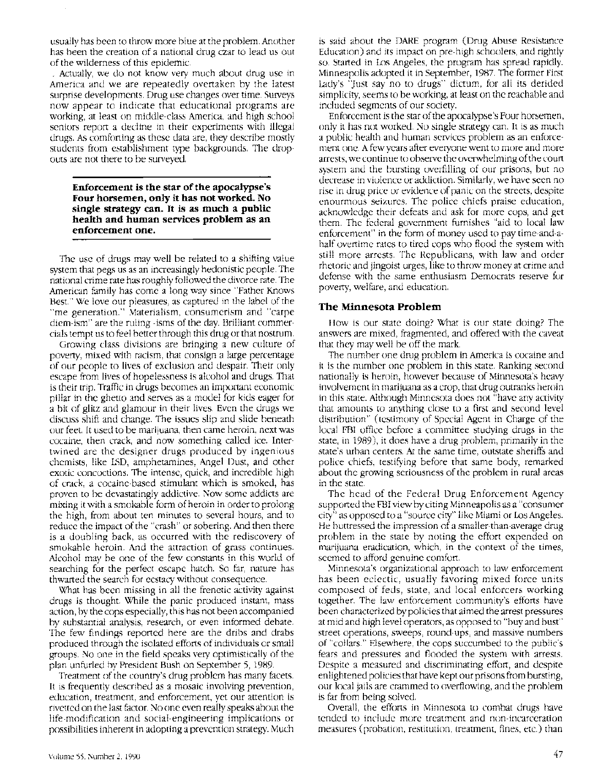usually has been to throw more blue at the problem. Another has been the creation of a national drug czar to lead us out of the wilderness of this epidemic.

\_ Actually, we do not know very much about drug use in America and we are repeatedly overtaken by the latest surprise developments. Drug use changes over time. Surveys now appear to indicate that educational programs are working, at least on middle-class America, and high school seniors report a decline in their experiments with illegal drugs. As comforting as these data are, they describe mostly students from establishment type backgrounds. The dropouts are not there to be surveyed.

**Enforcement is the star of the apocalypse's Four horsemen, only it has not worked. No single strategy can. It is as much a public health and human services problem as an enforcement one.** 

The use of drugs may well be related to a shifting value system that pegs us as an increasingly hedonistic people. The national crime rate has roughly followed the divorce rate. The American family has come a long way since "Father Knows Best." We love our pleasures, as captured in the label of the "me generation." Materialism, consumerism and "carpe diem-ism" are the ruling -isms of the day. Brilliant commercials tempt us to feel better through this drug or that nostrum.

Growing class divisions are bringing a new culture of poverty, mixed with racism, that consign a large percentage of our people to lives of exclusion and despair. Their only escape from lives of hopelessness is alcohol and drugs. That is their trip. Traffic in drugs becomes an important economic pillar in the ghetto and serves as a model for kids eager for a bit of glitz and glamour in their lives. Even the drugs we discuss shift and change. The issues slip and slide beneath our feet. It used to be marijuana, then came heroin, next was cocaine, then crack, and now something called ice. Intertwined are the designer drugs produced by ingenious chemists, like LSD, amphetamines, Angel Dust, and other exotic concoctions. The intense, quick, and incredible high of crack, a cocaine-based stimulant which is smoked, has proven to be devastatingly addictive. Now some addicts are mixing it with a smokable form of heroin in order to prolong the high, from about ten minutes to several hours, and to reduce the impact of the "crash" or sobering. And then there is a doubling back, as occurred with the rediscovery of smokable heroin. And the attraction of grass continues. Alcohol may be one of the few constants in this world of searching for the perfect escape hatch. So far, nature has thwarted the search for ecstacy without consequence.

What has been missing in all the frenetic activity against drugs is thought. While the panic produced instant, mass action, by the cops especially, this has not been accompanied by substantial analysis, research, or even informed debate. The few findings reported here are the dribs and drabs produced through the isolated efforts of individuals or small groups. No one in the field speaks very optimistically of the plan unfurled by President Bush on September 5, 1989.

Treatment of the country's drug problem has many facets. It is frequently described as a mosaic involving prevention, education, treatment, and enforcement, yet our attention is rivetted on the last factor. No one even really speaks about the life-modification and social-engineering implications or possibilities inherent in adopting a prevention strategy. Much

is said about the DARE program (Drug Abuse Resistance Education) and its impact on pre-high schoolers, and rightly so. Started in Los Angeles, the program has spread rapidly. Minneapolis adopted it in September, 1987. The former First Lady's 'Just say no to drugs" dictum, for all its derided simplicity, seems to be working, at least on the reachable and included segments of our society.

Enforcement is the star of the apocalypse's Four horsemen, only it has not worked. No single strategy can. It is as much a public health and human services problem as an enforcement one. A few years after everyone went to more and more arrests, we continue to observe the overwhelming of the court system and the bursting overfilling of our prisons, but no decrease in violence or addiction. Similarly, we have seen no rise in drug price or evidence of panic on the streets, despite enourmous seizures. The police chiefs praise education, acknowledge their defeats and ask for more cops, and get them. The federal government furnishes "aid to local law enforcement" in the form of money used to pay time-and-ahalf overtime rates to tired cops who flood the system with still more arrests. The Republicans, with law and order rhetoric and jingoist urges, like to throw money at crime and defense with the same enthusiasm Democrats reserve for poverty, welfare, and education.

### **The Minnesota Problem**

How is our state doing? What is our state doing? The answers are mixed, fragmented, and offered with the caveat that they may well be off the mark

The number one drug problem in America is cocaine and it is the number one problem in this state. Ranking second nationally is heroin, however because of Minnesota's heavy involvement in marijuana as a crop, that drug outranks heroin in this state. Although Minnesota does not "have any activity that amounts to anything close to a first and second level distribution" (testimony of Special Agent in Charge of the local FBI office before a committee studying drugs in the state, in 1989), it does have a drug problem, primarily in the state's urban centers. At the same time, outstate sheriffs and police chiefs, testifying before that same body, remarked about the growing seriousness of the problem in rural areas in the state.

The head of the Federal Drug Enforcement Agency supported the FBI view by citing Minneapolis as a "consumer city" as opposed to a "source city" like Miami or Los Angeles. He buttressed the impression of a smaller-than-average drug problem in the state by noting the effort expended on marijuana eradication, which, in the context of the times, seemed to afford genuine comfort.

Minnesota's organizational approach to law enforcement has been eclectic, usually favoring mixed force units composed of feds, state, and local enforcers working together. The law enforcement community's efforts have been characterized by policies that aimed the arrest pressures at mid and high level operators, as opposed to "buy and bust" street operations, sweeps, round-ups, and massive numbers of "collars." Elsewhere, the cops succumbed to the public's fears and pressures and flooded the system with arrests. Despite a measured and discriminating effort, and despite enlightened policies that have kept our prisons from bursting, our local jails are crammed to overflowing, and the problem is far from being solved.

Overall, the efforts in Minnesota to combat drugs have tended to include more treatment and non-incarceration measures (probation, restitution, treatment, fines, etc.) than